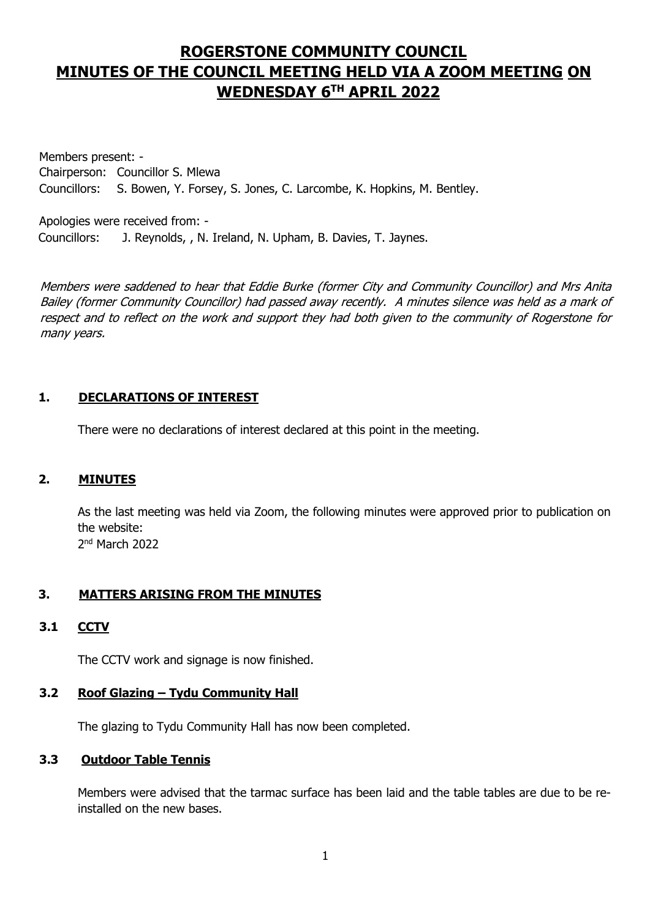# **ROGERSTONE COMMUNITY COUNCIL MINUTES OF THE COUNCIL MEETING HELD VIA A ZOOM MEETING ON WEDNESDAY 6 TH APRIL 2022**

Members present: - Chairperson: Councillor S. Mlewa Councillors: S. Bowen, Y. Forsey, S. Jones, C. Larcombe, K. Hopkins, M. Bentley.

Apologies were received from: - Councillors: J. Reynolds, , N. Ireland, N. Upham, B. Davies, T. Jaynes.

Members were saddened to hear that Eddie Burke (former City and Community Councillor) and Mrs Anita Bailey (former Community Councillor) had passed away recently. A minutes silence was held as a mark of respect and to reflect on the work and support they had both given to the community of Rogerstone for many years.

## **1. DECLARATIONS OF INTEREST**

There were no declarations of interest declared at this point in the meeting.

## **2. MINUTES**

As the last meeting was held via Zoom, the following minutes were approved prior to publication on the website:

2<sup>nd</sup> March 2022

# **3. MATTERS ARISING FROM THE MINUTES**

## **3.1 CCTV**

The CCTV work and signage is now finished.

## **3.2 Roof Glazing – Tydu Community Hall**

The glazing to Tydu Community Hall has now been completed.

## **3.3 Outdoor Table Tennis**

Members were advised that the tarmac surface has been laid and the table tables are due to be reinstalled on the new bases.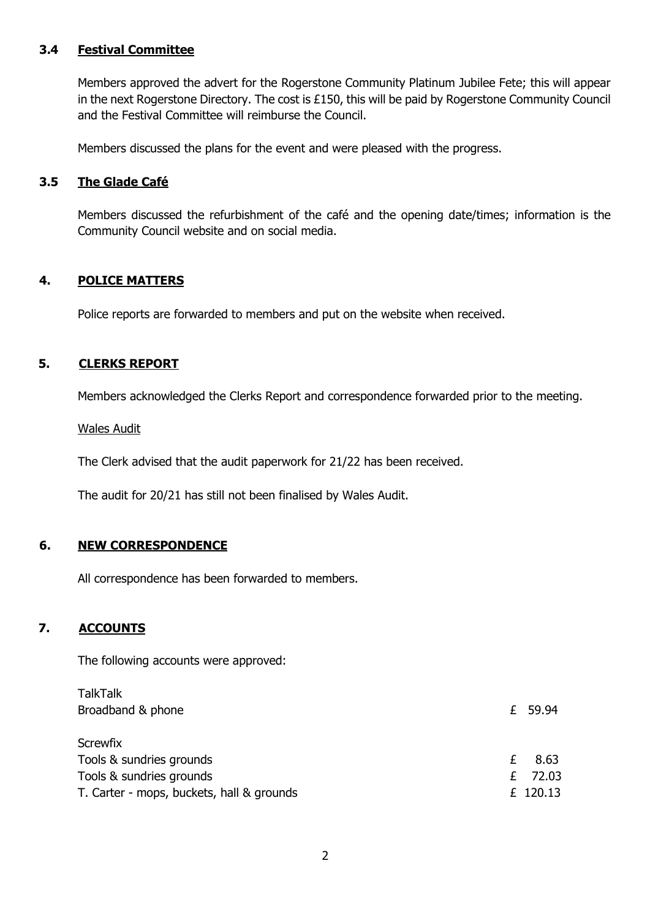## **3.4 Festival Committee**

Members approved the advert for the Rogerstone Community Platinum Jubilee Fete; this will appear in the next Rogerstone Directory. The cost is £150, this will be paid by Rogerstone Community Council and the Festival Committee will reimburse the Council.

Members discussed the plans for the event and were pleased with the progress.

#### **3.5 The Glade Café**

Members discussed the refurbishment of the café and the opening date/times; information is the Community Council website and on social media.

## **4. POLICE MATTERS**

Police reports are forwarded to members and put on the website when received.

## **5. CLERKS REPORT**

Members acknowledged the Clerks Report and correspondence forwarded prior to the meeting.

Wales Audit

The Clerk advised that the audit paperwork for 21/22 has been received.

The audit for 20/21 has still not been finalised by Wales Audit.

## **6. NEW CORRESPONDENCE**

All correspondence has been forwarded to members.

## **7. ACCOUNTS**

The following accounts were approved:

| £ 59.94   |
|-----------|
|           |
|           |
|           |
| 8.63      |
| £ $72.03$ |
|           |
|           |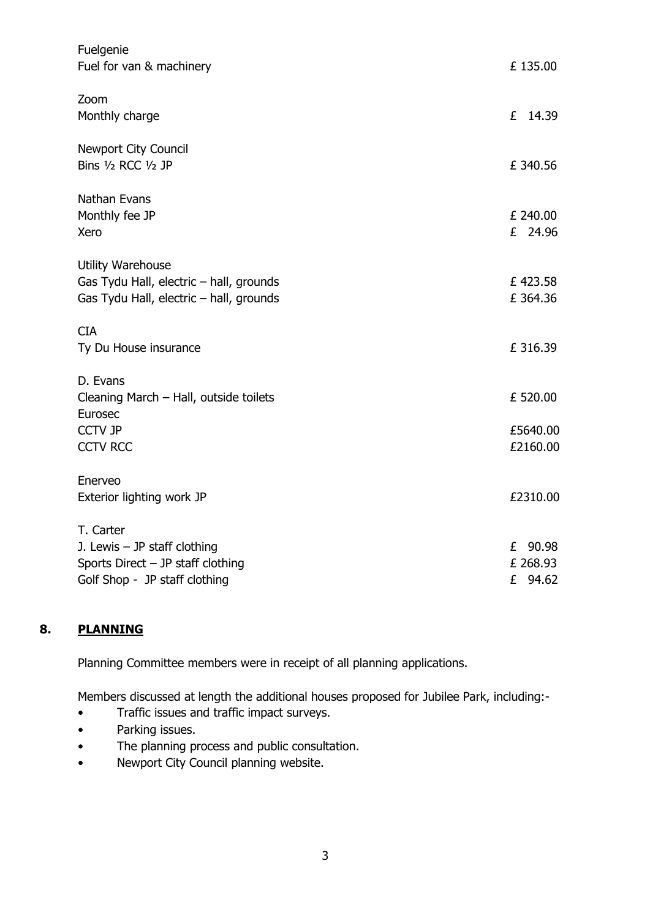| Fuelgenie<br>Fuel for van & machinery                                                                               | £135.00                              |
|---------------------------------------------------------------------------------------------------------------------|--------------------------------------|
| Zoom<br>Monthly charge                                                                                              | £<br>14.39                           |
| <b>Newport City Council</b><br>Bins 1/2 RCC 1/2 JP                                                                  | £ 340.56                             |
| Nathan Evans<br>Monthly fee JP<br>Xero                                                                              | £ 240.00<br>£ 24.96                  |
| Utility Warehouse<br>Gas Tydu Hall, electric - hall, grounds<br>Gas Tydu Hall, electric - hall, grounds             | £423.58<br>£ 364.36                  |
| <b>CIA</b><br>Ty Du House insurance                                                                                 | £ 316.39                             |
| D. Evans<br>Cleaning March - Hall, outside toilets<br>Eurosec                                                       | £ 520.00                             |
| <b>CCTV JP</b><br><b>CCTV RCC</b>                                                                                   | £5640.00<br>£2160.00                 |
| Enerveo<br>Exterior lighting work JP                                                                                | £2310.00                             |
| T. Carter<br>J. Lewis $-$ JP staff clothing<br>Sports Direct $-$ JP staff clothing<br>Golf Shop - JP staff clothing | 90.98<br>£<br>£ 268.93<br>£<br>94.62 |

## **8. PLANNING**

Planning Committee members were in receipt of all planning applications.

Members discussed at length the additional houses proposed for Jubilee Park, including:-

- Traffic issues and traffic impact surveys.
- Parking issues.
- The planning process and public consultation.
- Newport City Council planning website.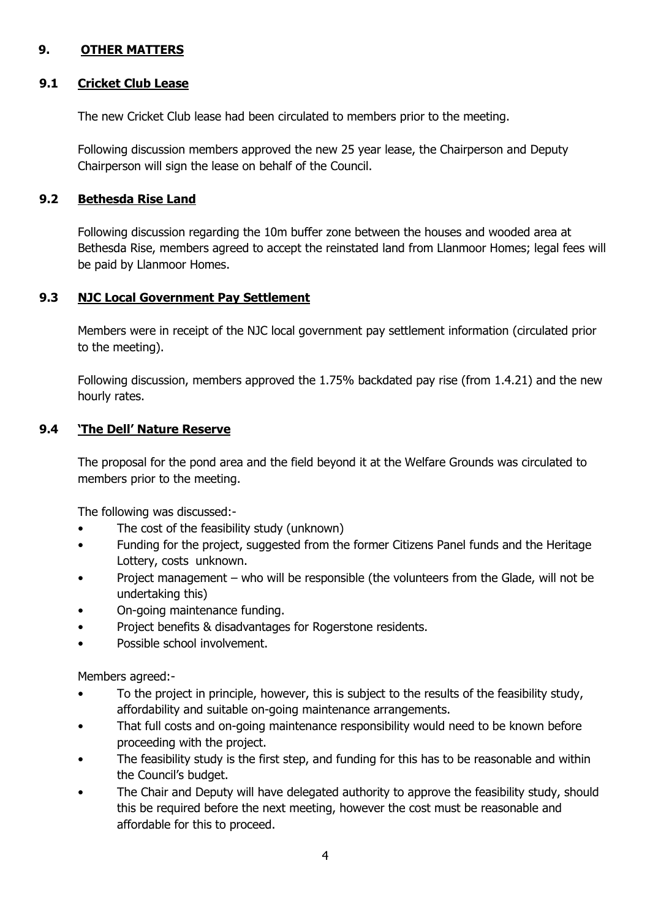## **9. OTHER MATTERS**

#### **9.1 Cricket Club Lease**

The new Cricket Club lease had been circulated to members prior to the meeting.

Following discussion members approved the new 25 year lease, the Chairperson and Deputy Chairperson will sign the lease on behalf of the Council.

#### **9.2 Bethesda Rise Land**

Following discussion regarding the 10m buffer zone between the houses and wooded area at Bethesda Rise, members agreed to accept the reinstated land from Llanmoor Homes; legal fees will be paid by Llanmoor Homes.

#### **9.3 NJC Local Government Pay Settlement**

Members were in receipt of the NJC local government pay settlement information (circulated prior to the meeting).

Following discussion, members approved the 1.75% backdated pay rise (from 1.4.21) and the new hourly rates.

#### **9.4 'The Dell' Nature Reserve**

The proposal for the pond area and the field beyond it at the Welfare Grounds was circulated to members prior to the meeting.

The following was discussed:-

- The cost of the feasibility study (unknown)
- Funding for the project, suggested from the former Citizens Panel funds and the Heritage Lottery, costs unknown.
- Project management who will be responsible (the volunteers from the Glade, will not be undertaking this)
- On-going maintenance funding.
- Project benefits & disadvantages for Rogerstone residents.
- Possible school involvement.

Members agreed:-

- To the project in principle, however, this is subject to the results of the feasibility study, affordability and suitable on-going maintenance arrangements.
- That full costs and on-going maintenance responsibility would need to be known before proceeding with the project.
- The feasibility study is the first step, and funding for this has to be reasonable and within the Council's budget.
- The Chair and Deputy will have delegated authority to approve the feasibility study, should this be required before the next meeting, however the cost must be reasonable and affordable for this to proceed.